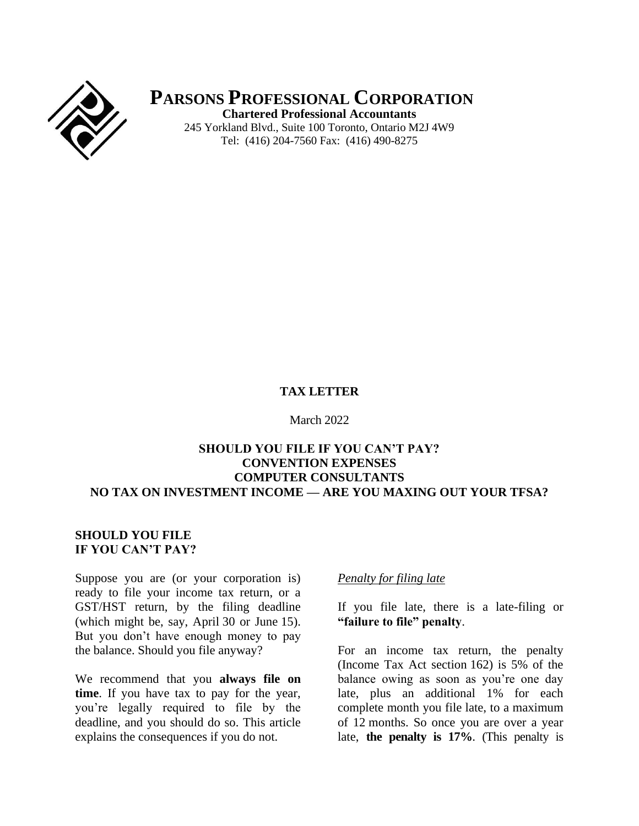

**PARSONS PROFESSIONAL CORPORATION Chartered Professional Accountants** 245 Yorkland Blvd., Suite 100 Toronto, Ontario M2J 4W9

Tel: (416) 204-7560 Fax: (416) 490-8275

#### **TAX LETTER**

March 2022

#### **SHOULD YOU FILE IF YOU CAN'T PAY? CONVENTION EXPENSES COMPUTER CONSULTANTS NO TAX ON INVESTMENT INCOME — ARE YOU MAXING OUT YOUR TFSA?**

#### **SHOULD YOU FILE IF YOU CAN'T PAY?**

Suppose you are (or your corporation is) ready to file your income tax return, or a GST/HST return, by the filing deadline (which might be, say, April 30 or June 15). But you don't have enough money to pay the balance. Should you file anyway?

We recommend that you **always file on time**. If you have tax to pay for the year, you're legally required to file by the deadline, and you should do so. This article explains the consequences if you do not.

#### *Penalty for filing late*

If you file late, there is a late-filing or **"failure to file" penalty**.

For an income tax return, the penalty (Income Tax Act section 162) is 5% of the balance owing as soon as you're one day late, plus an additional 1% for each complete month you file late, to a maximum of 12 months. So once you are over a year late, **the penalty is 17%**. (This penalty is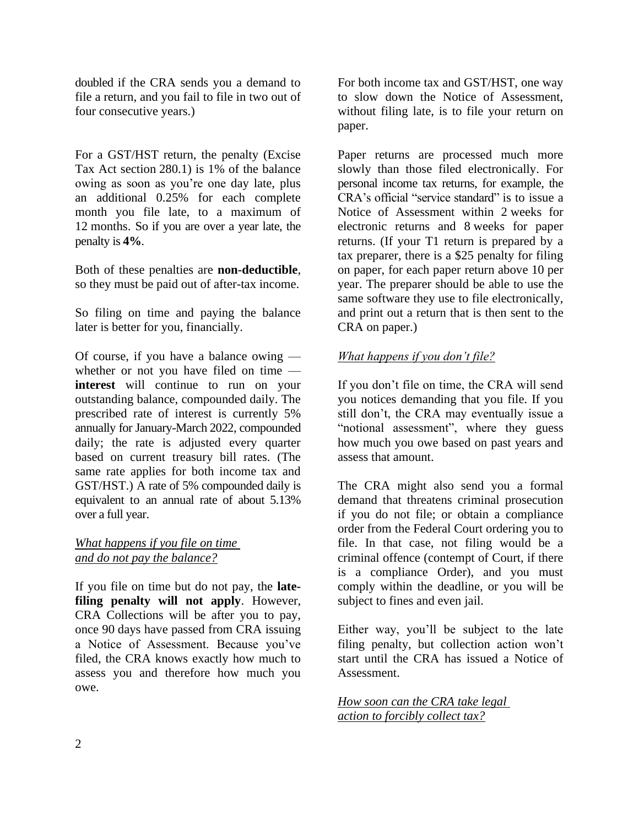doubled if the CRA sends you a demand to file a return, and you fail to file in two out of four consecutive years.)

For a GST/HST return, the penalty (Excise Tax Act section 280.1) is 1% of the balance owing as soon as you're one day late, plus an additional 0.25% for each complete month you file late, to a maximum of 12 months. So if you are over a year late, the penalty is **4%**.

Both of these penalties are **non-deductible**, so they must be paid out of after-tax income.

So filing on time and paying the balance later is better for you, financially.

Of course, if you have a balance owing whether or not you have filed on time **interest** will continue to run on your outstanding balance, compounded daily. The prescribed rate of interest is currently 5% annually for January-March 2022, compounded daily; the rate is adjusted every quarter based on current treasury bill rates. (The same rate applies for both income tax and GST/HST.) A rate of 5% compounded daily is equivalent to an annual rate of about 5.13% over a full year.

*What happens if you file on time and do not pay the balance?*

If you file on time but do not pay, the **latefiling penalty will not apply**. However, CRA Collections will be after you to pay, once 90 days have passed from CRA issuing a Notice of Assessment. Because you've filed, the CRA knows exactly how much to assess you and therefore how much you owe.

For both income tax and GST/HST, one way to slow down the Notice of Assessment, without filing late, is to file your return on paper.

Paper returns are processed much more slowly than those filed electronically. For personal income tax returns, for example, the CRA's official "service standard" is to issue a Notice of Assessment within 2 weeks for electronic returns and 8 weeks for paper returns. (If your T1 return is prepared by a tax preparer, there is a \$25 penalty for filing on paper, for each paper return above 10 per year. The preparer should be able to use the same software they use to file electronically, and print out a return that is then sent to the CRA on paper.)

## *What happens if you don't file?*

If you don't file on time, the CRA will send you notices demanding that you file. If you still don't, the CRA may eventually issue a "notional assessment", where they guess how much you owe based on past years and assess that amount.

The CRA might also send you a formal demand that threatens criminal prosecution if you do not file; or obtain a compliance order from the Federal Court ordering you to file. In that case, not filing would be a criminal offence (contempt of Court, if there is a compliance Order), and you must comply within the deadline, or you will be subject to fines and even jail.

Either way, you'll be subject to the late filing penalty, but collection action won't start until the CRA has issued a Notice of Assessment.

*How soon can the CRA take legal action to forcibly collect tax?*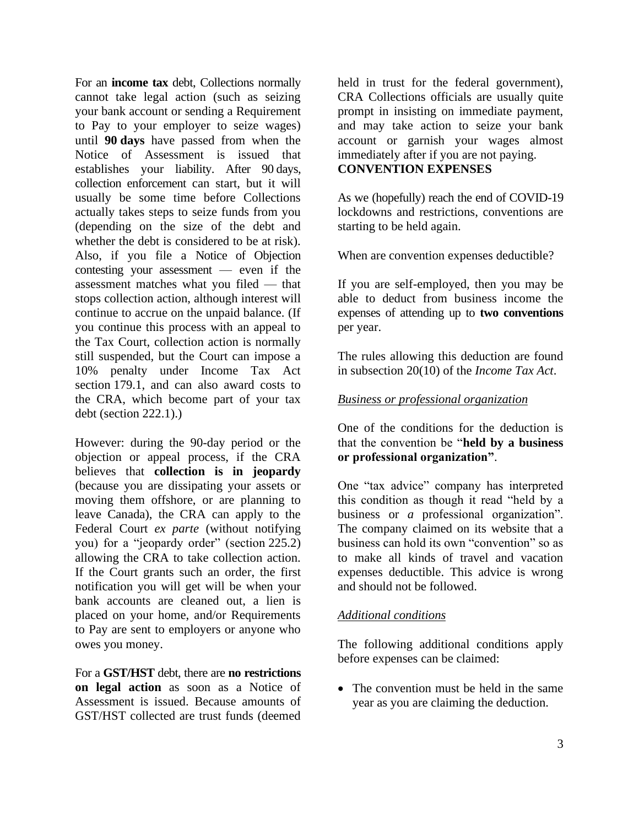For an **income tax** debt, Collections normally cannot take legal action (such as seizing your bank account or sending a Requirement to Pay to your employer to seize wages) until **90 days** have passed from when the Notice of Assessment is issued that establishes your liability. After 90 days, collection enforcement can start, but it will usually be some time before Collections actually takes steps to seize funds from you (depending on the size of the debt and whether the debt is considered to be at risk). Also, if you file a Notice of Objection contesting your assessment — even if the assessment matches what you filed — that stops collection action, although interest will continue to accrue on the unpaid balance. (If you continue this process with an appeal to the Tax Court, collection action is normally still suspended, but the Court can impose a 10% penalty under Income Tax Act section 179.1, and can also award costs to the CRA, which become part of your tax debt (section 222.1).)

However: during the 90-day period or the objection or appeal process, if the CRA believes that **collection is in jeopardy** (because you are dissipating your assets or moving them offshore, or are planning to leave Canada), the CRA can apply to the Federal Court *ex parte* (without notifying you) for a "jeopardy order" (section 225.2) allowing the CRA to take collection action. If the Court grants such an order, the first notification you will get will be when your bank accounts are cleaned out, a lien is placed on your home, and/or Requirements to Pay are sent to employers or anyone who owes you money.

For a **GST/HST** debt, there are **no restrictions on legal action** as soon as a Notice of Assessment is issued. Because amounts of GST/HST collected are trust funds (deemed

held in trust for the federal government), CRA Collections officials are usually quite prompt in insisting on immediate payment, and may take action to seize your bank account or garnish your wages almost immediately after if you are not paying. **CONVENTION EXPENSES**

As we (hopefully) reach the end of COVID-19 lockdowns and restrictions, conventions are starting to be held again.

When are convention expenses deductible?

If you are self-employed, then you may be able to deduct from business income the expenses of attending up to **two conventions** per year.

The rules allowing this deduction are found in subsection 20(10) of the *Income Tax Act*.

#### *Business or professional organization*

One of the conditions for the deduction is that the convention be "**held by a business or professional organization"**.

One "tax advice" company has interpreted this condition as though it read "held by a business or *a* professional organization". The company claimed on its website that a business can hold its own "convention" so as to make all kinds of travel and vacation expenses deductible. This advice is wrong and should not be followed.

#### *Additional conditions*

The following additional conditions apply before expenses can be claimed:

• The convention must be held in the same year as you are claiming the deduction.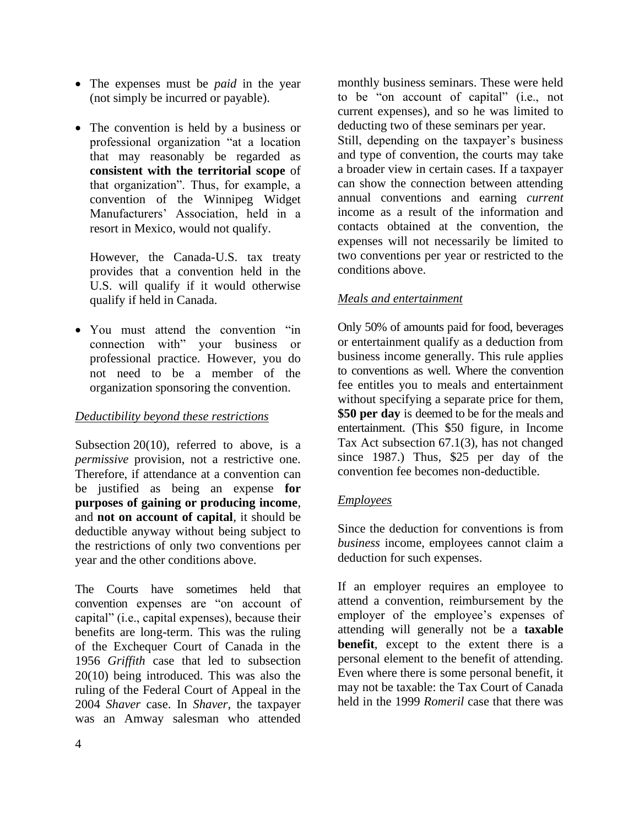- The expenses must be *paid* in the year (not simply be incurred or payable).
- The convention is held by a business or professional organization "at a location that may reasonably be regarded as **consistent with the territorial scope** of that organization". Thus, for example, a convention of the Winnipeg Widget Manufacturers' Association, held in a resort in Mexico, would not qualify.

However, the Canada-U.S. tax treaty provides that a convention held in the U.S. will qualify if it would otherwise qualify if held in Canada.

• You must attend the convention "in connection with" your business or professional practice. However, you do not need to be a member of the organization sponsoring the convention.

### *Deductibility beyond these restrictions*

Subsection 20(10), referred to above, is a *permissive* provision, not a restrictive one. Therefore, if attendance at a convention can be justified as being an expense **for purposes of gaining or producing income**, and **not on account of capital**, it should be deductible anyway without being subject to the restrictions of only two conventions per year and the other conditions above.

The Courts have sometimes held that convention expenses are "on account of capital" (i.e., capital expenses), because their benefits are long-term. This was the ruling of the Exchequer Court of Canada in the 1956 *Griffith* case that led to subsection 20(10) being introduced. This was also the ruling of the Federal Court of Appeal in the 2004 *Shaver* case. In *Shaver*, the taxpayer was an Amway salesman who attended

monthly business seminars. These were held to be "on account of capital" (i.e., not current expenses), and so he was limited to deducting two of these seminars per year. Still, depending on the taxpayer's business and type of convention, the courts may take a broader view in certain cases. If a taxpayer can show the connection between attending annual conventions and earning *current* income as a result of the information and contacts obtained at the convention, the expenses will not necessarily be limited to two conventions per year or restricted to the conditions above.

# *Meals and entertainment*

Only 50% of amounts paid for food, beverages or entertainment qualify as a deduction from business income generally. This rule applies to conventions as well. Where the convention fee entitles you to meals and entertainment without specifying a separate price for them, **\$50 per day** is deemed to be for the meals and entertainment. (This \$50 figure, in Income Tax Act subsection 67.1(3), has not changed since 1987.) Thus, \$25 per day of the convention fee becomes non-deductible.

#### *Employees*

Since the deduction for conventions is from *business* income, employees cannot claim a deduction for such expenses.

If an employer requires an employee to attend a convention, reimbursement by the employer of the employee's expenses of attending will generally not be a **taxable benefit**, except to the extent there is a personal element to the benefit of attending. Even where there is some personal benefit, it may not be taxable: the Tax Court of Canada held in the 1999 *Romeril* case that there was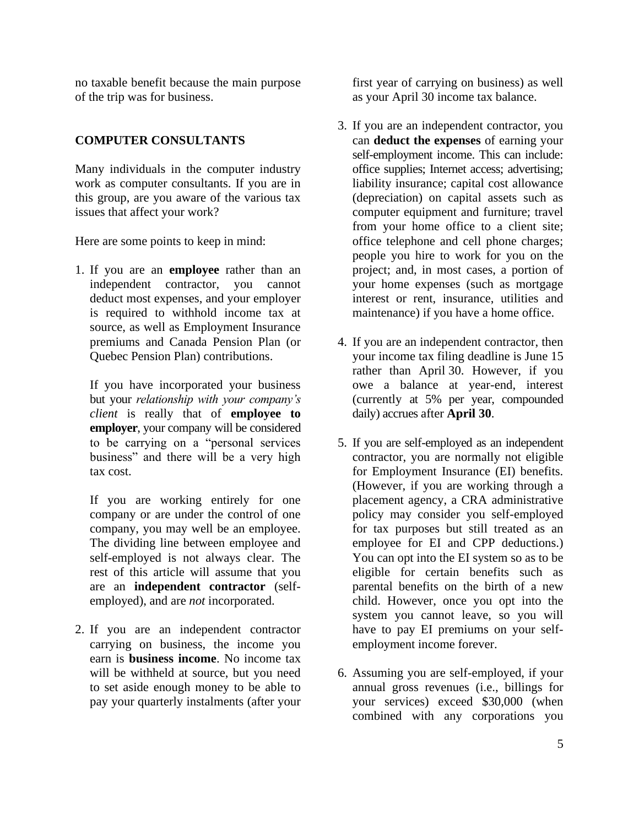no taxable benefit because the main purpose of the trip was for business.

### **COMPUTER CONSULTANTS**

Many individuals in the computer industry work as computer consultants. If you are in this group, are you aware of the various tax issues that affect your work?

Here are some points to keep in mind:

1. If you are an **employee** rather than an independent contractor, you cannot deduct most expenses, and your employer is required to withhold income tax at source, as well as Employment Insurance premiums and Canada Pension Plan (or Quebec Pension Plan) contributions.

If you have incorporated your business but your *relationship with your company's client* is really that of **employee to employer**, your company will be considered to be carrying on a "personal services business" and there will be a very high tax cost.

If you are working entirely for one company or are under the control of one company, you may well be an employee. The dividing line between employee and self-employed is not always clear. The rest of this article will assume that you are an **independent contractor** (selfemployed), and are *not* incorporated.

2. If you are an independent contractor carrying on business, the income you earn is **business income**. No income tax will be withheld at source, but you need to set aside enough money to be able to pay your quarterly instalments (after your first year of carrying on business) as well as your April 30 income tax balance.

- 3. If you are an independent contractor, you can **deduct the expenses** of earning your self-employment income. This can include: office supplies; Internet access; advertising; liability insurance; capital cost allowance (depreciation) on capital assets such as computer equipment and furniture; travel from your home office to a client site; office telephone and cell phone charges; people you hire to work for you on the project; and, in most cases, a portion of your home expenses (such as mortgage interest or rent, insurance, utilities and maintenance) if you have a home office.
- 4. If you are an independent contractor, then your income tax filing deadline is June 15 rather than April 30. However, if you owe a balance at year-end, interest (currently at 5% per year, compounded daily) accrues after **April 30**.
- 5. If you are self-employed as an independent contractor, you are normally not eligible for Employment Insurance (EI) benefits. (However, if you are working through a placement agency, a CRA administrative policy may consider you self-employed for tax purposes but still treated as an employee for EI and CPP deductions.) You can opt into the EI system so as to be eligible for certain benefits such as parental benefits on the birth of a new child. However, once you opt into the system you cannot leave, so you will have to pay EI premiums on your selfemployment income forever.
- 6. Assuming you are self-employed, if your annual gross revenues (i.e., billings for your services) exceed \$30,000 (when combined with any corporations you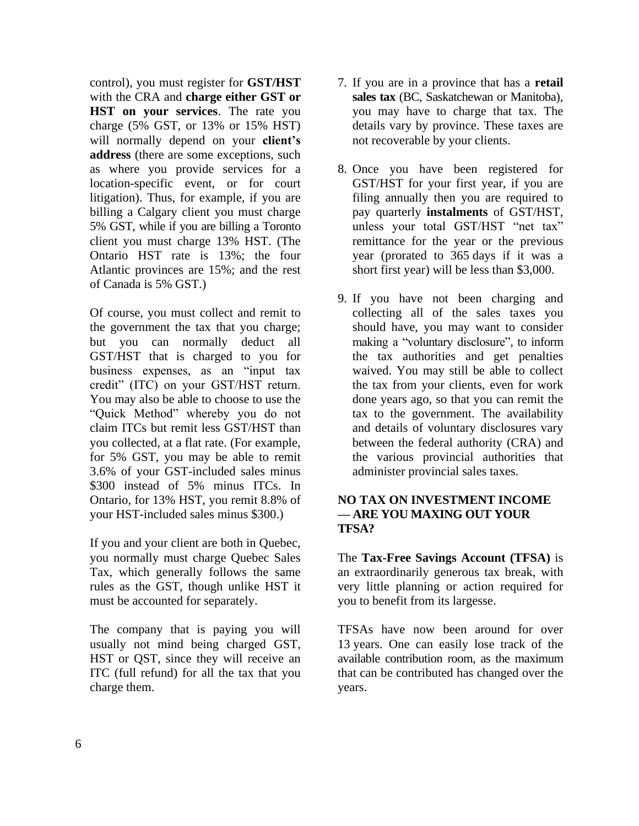control), you must register for **GST/HST** with the CRA and **charge either GST or HST on your services**. The rate you charge (5% GST, or 13% or 15% HST) will normally depend on your **client's address** (there are some exceptions, such as where you provide services for a location-specific event, or for court litigation). Thus, for example, if you are billing a Calgary client you must charge 5% GST, while if you are billing a Toronto client you must charge 13% HST. (The Ontario HST rate is 13%; the four Atlantic provinces are 15%; and the rest of Canada is 5% GST.)

Of course, you must collect and remit to the government the tax that you charge; but you can normally deduct all GST/HST that is charged to you for business expenses, as an "input tax credit" (ITC) on your GST/HST return. You may also be able to choose to use the "Quick Method" whereby you do not claim ITCs but remit less GST/HST than you collected, at a flat rate. (For example, for 5% GST, you may be able to remit 3.6% of your GST-included sales minus \$300 instead of 5% minus ITCs. In Ontario, for 13% HST, you remit 8.8% of your HST-included sales minus \$300.)

If you and your client are both in Quebec, you normally must charge Quebec Sales Tax, which generally follows the same rules as the GST, though unlike HST it must be accounted for separately.

The company that is paying you will usually not mind being charged GST, HST or QST, since they will receive an ITC (full refund) for all the tax that you charge them.

- 7. If you are in a province that has a **retail sales tax** (BC, Saskatchewan or Manitoba), you may have to charge that tax. The details vary by province. These taxes are not recoverable by your clients.
- 8. Once you have been registered for GST/HST for your first year, if you are filing annually then you are required to pay quarterly **instalments** of GST/HST, unless your total GST/HST "net tax" remittance for the year or the previous year (prorated to 365 days if it was a short first year) will be less than \$3,000.
- 9. If you have not been charging and collecting all of the sales taxes you should have, you may want to consider making a "voluntary disclosure", to inform the tax authorities and get penalties waived. You may still be able to collect the tax from your clients, even for work done years ago, so that you can remit the tax to the government. The availability and details of voluntary disclosures vary between the federal authority (CRA) and the various provincial authorities that administer provincial sales taxes.

#### **NO TAX ON INVESTMENT INCOME — ARE YOU MAXING OUT YOUR TFSA?**

The **Tax-Free Savings Account (TFSA)** is an extraordinarily generous tax break, with very little planning or action required for you to benefit from its largesse.

TFSAs have now been around for over 13 years. One can easily lose track of the available contribution room, as the maximum that can be contributed has changed over the years.